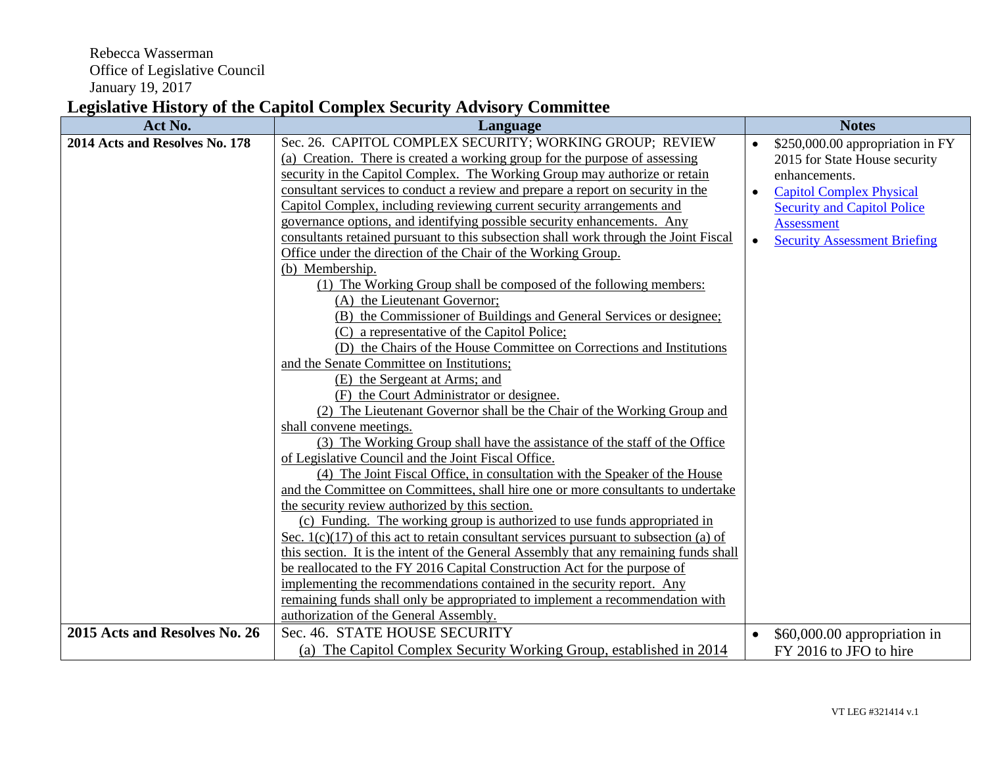Rebecca Wasserman Office of Legislative Council January 19, 2017

## **Legislative History of the Capitol Complex Security Advisory Committee**

| Act No.                        | Language                                                                                                                                            |           | <b>Notes</b>                        |
|--------------------------------|-----------------------------------------------------------------------------------------------------------------------------------------------------|-----------|-------------------------------------|
| 2014 Acts and Resolves No. 178 | Sec. 26. CAPITOL COMPLEX SECURITY; WORKING GROUP; REVIEW                                                                                            | $\bullet$ | \$250,000.00 appropriation in FY    |
|                                | (a) Creation. There is created a working group for the purpose of assessing                                                                         |           | 2015 for State House security       |
|                                | security in the Capitol Complex. The Working Group may authorize or retain                                                                          |           | enhancements.                       |
|                                | consultant services to conduct a review and prepare a report on security in the                                                                     |           | <b>Capitol Complex Physical</b>     |
|                                | Capitol Complex, including reviewing current security arrangements and                                                                              |           | <b>Security and Capitol Police</b>  |
|                                | governance options, and identifying possible security enhancements. Any                                                                             |           | <b>Assessment</b>                   |
|                                | consultants retained pursuant to this subsection shall work through the Joint Fiscal                                                                | $\bullet$ | <b>Security Assessment Briefing</b> |
|                                | Office under the direction of the Chair of the Working Group.                                                                                       |           |                                     |
|                                | (b) Membership.                                                                                                                                     |           |                                     |
|                                | (1) The Working Group shall be composed of the following members:                                                                                   |           |                                     |
|                                | (A) the Lieutenant Governor;                                                                                                                        |           |                                     |
|                                | (B) the Commissioner of Buildings and General Services or designee:                                                                                 |           |                                     |
|                                | (C) a representative of the Capitol Police;                                                                                                         |           |                                     |
|                                | (D) the Chairs of the House Committee on Corrections and Institutions                                                                               |           |                                     |
|                                | and the Senate Committee on Institutions;                                                                                                           |           |                                     |
|                                | (E) the Sergeant at Arms; and                                                                                                                       |           |                                     |
|                                | (F) the Court Administrator or designee.                                                                                                            |           |                                     |
|                                | (2) The Lieutenant Governor shall be the Chair of the Working Group and                                                                             |           |                                     |
|                                | shall convene meetings.                                                                                                                             |           |                                     |
|                                | (3) The Working Group shall have the assistance of the staff of the Office                                                                          |           |                                     |
|                                | of Legislative Council and the Joint Fiscal Office.                                                                                                 |           |                                     |
|                                | (4) The Joint Fiscal Office, in consultation with the Speaker of the House                                                                          |           |                                     |
|                                | and the Committee on Committees, shall hire one or more consultants to undertake                                                                    |           |                                     |
|                                | the security review authorized by this section.                                                                                                     |           |                                     |
|                                | (c) Funding. The working group is authorized to use funds appropriated in                                                                           |           |                                     |
|                                | Sec. $1(c)(17)$ of this act to retain consultant services pursuant to subsection (a) of                                                             |           |                                     |
|                                | this section. It is the intent of the General Assembly that any remaining funds shall                                                               |           |                                     |
|                                | be reallocated to the FY 2016 Capital Construction Act for the purpose of<br>implementing the recommendations contained in the security report. Any |           |                                     |
|                                |                                                                                                                                                     |           |                                     |
|                                | remaining funds shall only be appropriated to implement a recommendation with<br>authorization of the General Assembly.                             |           |                                     |
| 2015 Acts and Resolves No. 26  | Sec. 46. STATE HOUSE SECURITY                                                                                                                       |           |                                     |
|                                |                                                                                                                                                     |           | \$60,000.00 appropriation in        |
|                                | (a) The Capitol Complex Security Working Group, established in 2014                                                                                 |           | FY 2016 to JFO to hire              |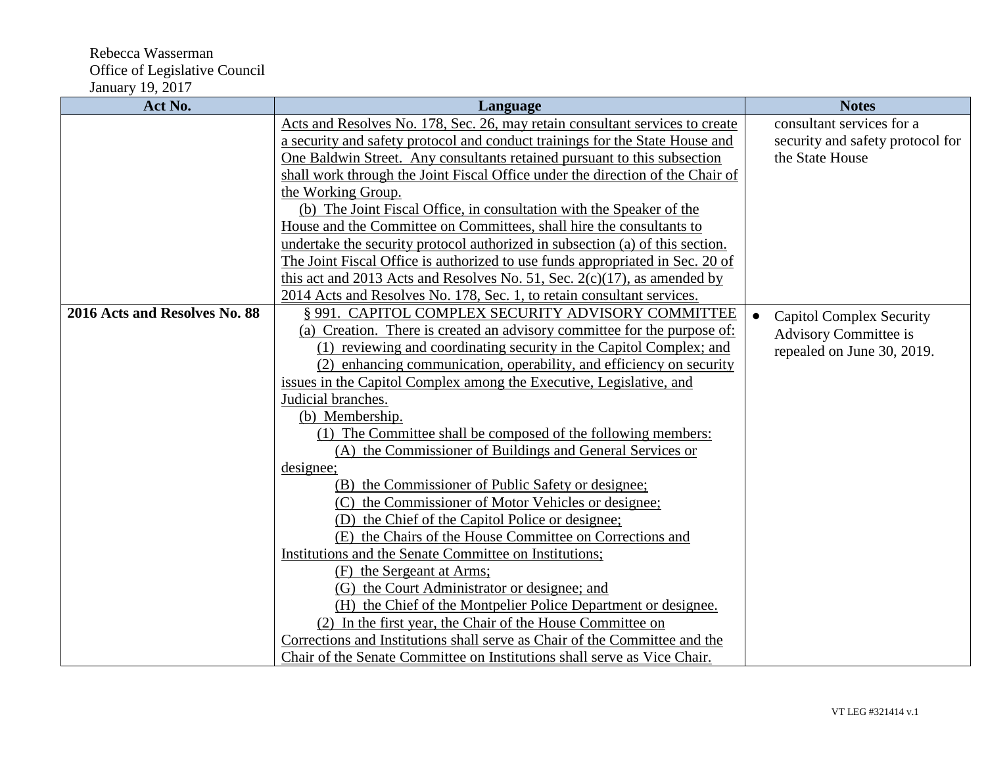| Act No.                       | Language                                                                       | <b>Notes</b>                     |
|-------------------------------|--------------------------------------------------------------------------------|----------------------------------|
|                               | Acts and Resolves No. 178, Sec. 26, may retain consultant services to create   | consultant services for a        |
|                               | a security and safety protocol and conduct trainings for the State House and   | security and safety protocol for |
|                               | One Baldwin Street. Any consultants retained pursuant to this subsection       | the State House                  |
|                               | shall work through the Joint Fiscal Office under the direction of the Chair of |                                  |
|                               | the Working Group.                                                             |                                  |
|                               | (b) The Joint Fiscal Office, in consultation with the Speaker of the           |                                  |
|                               | House and the Committee on Committees, shall hire the consultants to           |                                  |
|                               | undertake the security protocol authorized in subsection (a) of this section.  |                                  |
|                               | The Joint Fiscal Office is authorized to use funds appropriated in Sec. 20 of  |                                  |
|                               | this act and 2013 Acts and Resolves No. 51, Sec. $2(c)(17)$ , as amended by    |                                  |
|                               | 2014 Acts and Resolves No. 178, Sec. 1, to retain consultant services.         |                                  |
| 2016 Acts and Resolves No. 88 | § 991. CAPITOL COMPLEX SECURITY ADVISORY COMMITTEE                             | <b>Capitol Complex Security</b>  |
|                               | (a) Creation. There is created an advisory committee for the purpose of:       | Advisory Committee is            |
|                               | (1) reviewing and coordinating security in the Capitol Complex; and            | repealed on June 30, 2019.       |
|                               | (2) enhancing communication, operability, and efficiency on security           |                                  |
|                               | issues in the Capitol Complex among the Executive, Legislative, and            |                                  |
|                               | Judicial branches.                                                             |                                  |
|                               | (b) Membership.                                                                |                                  |
|                               | (1) The Committee shall be composed of the following members:                  |                                  |
|                               | (A) the Commissioner of Buildings and General Services or                      |                                  |
|                               | designee;                                                                      |                                  |
|                               | (B) the Commissioner of Public Safety or designee;                             |                                  |
|                               | (C) the Commissioner of Motor Vehicles or designee;                            |                                  |
|                               | (D) the Chief of the Capitol Police or designee;                               |                                  |
|                               | (E) the Chairs of the House Committee on Corrections and                       |                                  |
|                               | Institutions and the Senate Committee on Institutions;                         |                                  |
|                               | (F) the Sergeant at Arms;                                                      |                                  |
|                               | (G) the Court Administrator or designee; and                                   |                                  |
|                               | (H) the Chief of the Montpelier Police Department or designee.                 |                                  |
|                               | (2) In the first year, the Chair of the House Committee on                     |                                  |
|                               | Corrections and Institutions shall serve as Chair of the Committee and the     |                                  |
|                               | Chair of the Senate Committee on Institutions shall serve as Vice Chair.       |                                  |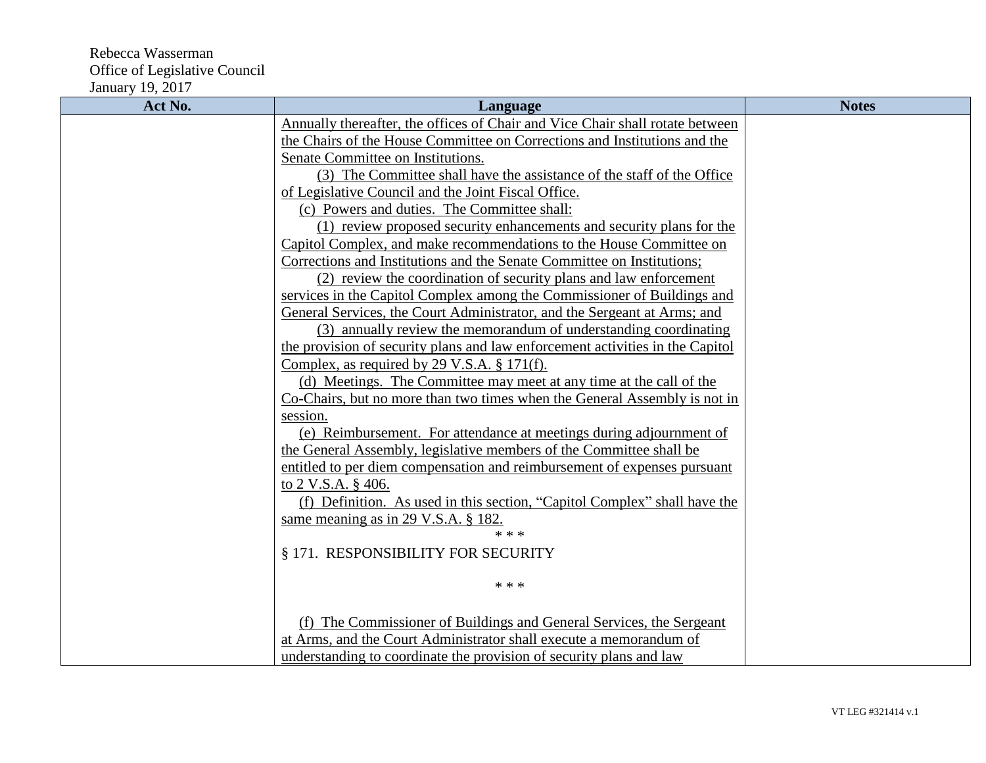| Act No. | Language                                                                      | <b>Notes</b> |
|---------|-------------------------------------------------------------------------------|--------------|
|         | Annually thereafter, the offices of Chair and Vice Chair shall rotate between |              |
|         | the Chairs of the House Committee on Corrections and Institutions and the     |              |
|         | Senate Committee on Institutions.                                             |              |
|         | (3) The Committee shall have the assistance of the staff of the Office        |              |
|         | of Legislative Council and the Joint Fiscal Office.                           |              |
|         | (c) Powers and duties. The Committee shall:                                   |              |
|         | (1) review proposed security enhancements and security plans for the          |              |
|         | Capitol Complex, and make recommendations to the House Committee on           |              |
|         | Corrections and Institutions and the Senate Committee on Institutions;        |              |
|         | (2) review the coordination of security plans and law enforcement             |              |
|         | services in the Capitol Complex among the Commissioner of Buildings and       |              |
|         | General Services, the Court Administrator, and the Sergeant at Arms; and      |              |
|         | (3) annually review the memorandum of understanding coordinating              |              |
|         | the provision of security plans and law enforcement activities in the Capitol |              |
|         | Complex, as required by $29$ V.S.A. § 171(f).                                 |              |
|         | (d) Meetings. The Committee may meet at any time at the call of the           |              |
|         | Co-Chairs, but no more than two times when the General Assembly is not in     |              |
|         | session.                                                                      |              |
|         | (e) Reimbursement. For attendance at meetings during adjournment of           |              |
|         | the General Assembly, legislative members of the Committee shall be           |              |
|         | entitled to per diem compensation and reimbursement of expenses pursuant      |              |
|         | to 2 V.S.A. § 406.                                                            |              |
|         | (f) Definition. As used in this section, "Capitol Complex" shall have the     |              |
|         | same meaning as in 29 V.S.A. § 182.                                           |              |
|         | * * *                                                                         |              |
|         | § 171. RESPONSIBILITY FOR SECURITY                                            |              |
|         | * * *                                                                         |              |
|         |                                                                               |              |
|         |                                                                               |              |
|         | (f) The Commissioner of Buildings and General Services, the Sergeant          |              |
|         | at Arms, and the Court Administrator shall execute a memorandum of            |              |
|         | understanding to coordinate the provision of security plans and law           |              |